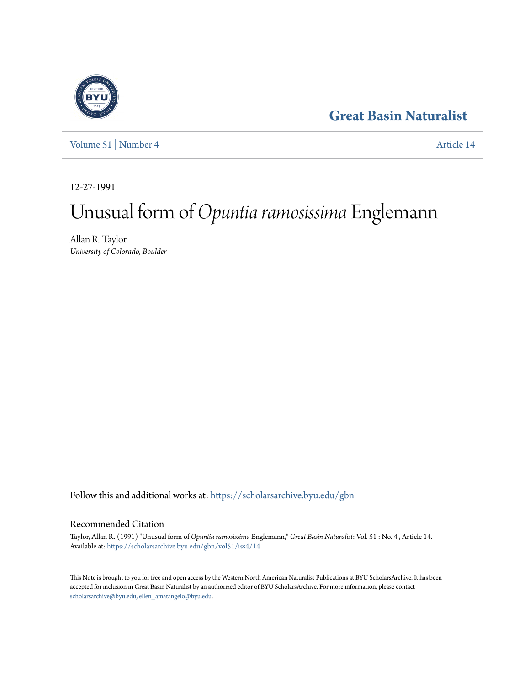## **[Great Basin Naturalist](https://scholarsarchive.byu.edu/gbn?utm_source=scholarsarchive.byu.edu%2Fgbn%2Fvol51%2Fiss4%2F14&utm_medium=PDF&utm_campaign=PDFCoverPages)**



[Volume 51](https://scholarsarchive.byu.edu/gbn/vol51?utm_source=scholarsarchive.byu.edu%2Fgbn%2Fvol51%2Fiss4%2F14&utm_medium=PDF&utm_campaign=PDFCoverPages) | [Number 4](https://scholarsarchive.byu.edu/gbn/vol51/iss4?utm_source=scholarsarchive.byu.edu%2Fgbn%2Fvol51%2Fiss4%2F14&utm_medium=PDF&utm_campaign=PDFCoverPages) [Article 14](https://scholarsarchive.byu.edu/gbn/vol51/iss4/14?utm_source=scholarsarchive.byu.edu%2Fgbn%2Fvol51%2Fiss4%2F14&utm_medium=PDF&utm_campaign=PDFCoverPages)

12-27-1991

# Unusual form of*Opuntia ramosissima* Englemann

Allan R. Taylor *University of Colorado, Boulder*

Follow this and additional works at: [https://scholarsarchive.byu.edu/gbn](https://scholarsarchive.byu.edu/gbn?utm_source=scholarsarchive.byu.edu%2Fgbn%2Fvol51%2Fiss4%2F14&utm_medium=PDF&utm_campaign=PDFCoverPages)

### Recommended Citation

Taylor, Allan R. (1991) "Unusual form of *Opuntia ramosissima* Englemann," *Great Basin Naturalist*: Vol. 51 : No. 4 , Article 14. Available at: [https://scholarsarchive.byu.edu/gbn/vol51/iss4/14](https://scholarsarchive.byu.edu/gbn/vol51/iss4/14?utm_source=scholarsarchive.byu.edu%2Fgbn%2Fvol51%2Fiss4%2F14&utm_medium=PDF&utm_campaign=PDFCoverPages)

This Note is brought to you for free and open access by the Western North American Naturalist Publications at BYU ScholarsArchive. It has been accepted for inclusion in Great Basin Naturalist by an authorized editor of BYU ScholarsArchive. For more information, please contact [scholarsarchive@byu.edu, ellen\\_amatangelo@byu.edu.](mailto:scholarsarchive@byu.edu,%20ellen_amatangelo@byu.edu)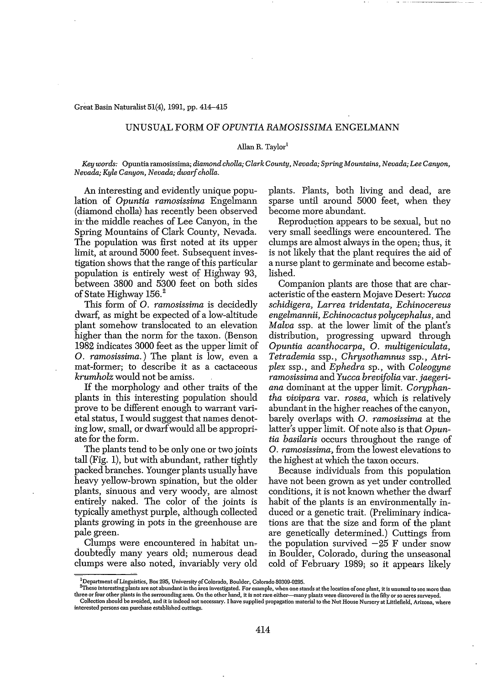#### Great Basin Naturalist 51(4), 1991, pp. 414-415

#### UNUSUA.L FORM 01" *OPUNTIA RAMOSISSIMA* ENGELMANN

#### Allan R. Taylor<sup>1</sup>

*Key words:* Opuntiaramosissima; *diamondcholla; Clark County, Nevada; Spring Mountains, Nevada; Lee Canyon, Nevada; Kyle Canyon, Nevada; dwarfcholla.*

An interesting and evidently unique population of *Opuntia ramosissima* Engelmann (diamond cholla) has recently been observed in' the middle reaches of Lee Canyon, in the Spring Mountains of Clark County, Nevada. The population was first noted at its upper limit, at around 5000 feet. Subsequent investigation shows that the range of this particular population is entirely west of Highway 93, between 3800 and 5300 feet on both sides of State Highway 156.<sup>2</sup>

This form of O. *ramosissima* is decidedly dwarf, as might be expected of a low-altitude plant somehow translocated to an elevation higher than the norm for the taxon. (Benson 1982 indicates 3000 feet as the upper limit of O. *ramosissima.*) The plant is low, even a mat-former; to describe it as a cactaceous *krumholz* would not be amiss.

If the morphology and other traits of the plants in this interesting population should prove to be different enough to warrant varietal status, I would suggest that names denoting low, small, or dwarfwould all be appropri~ ate for the form.

The plants tend to be only one or two joints tall (Fig. 1), but with abundant, rather tightly packed branches. Younger plants usually have heavy yellow~brown spination, but the older plants, sinuous qnd very woody, are almost entirely naked. The color of the joints is typically amethyst purple, although collected plants growing in pots in the greenhouse are pale green.

Clumps were encountered in habitat undoubtedly many years old; numerous dead clumps were also noted, invariably very old plants. Plants, both living and dead, are sparse until around 5000 feet, when they become more abundant.

Reproduction appears to be sexual, but no very small seedlings were encountered. The clumps are almost always in the open; thus, it is not likely that the plant requires the aid of a nurse plant to germinate and become established.

Companion plants are those that are characteristic of the eastern Mojave Desert: *Yucca schidigera, Larrea tridentata, Echinocereus engelmannii, Echinocactus polycephalus,* and *Malva* ssp. at the lower limit of the plant's distribution, progressing upward through *Opuntia acanthocarpa,* O. *multigeniculata, Tetrademia* ssp., *Chrysothamnus* ssp., *Atriplex* ssp., and *Ephedra* sp., with *Coleogyne ramosissima* and *Yucca brevifoliavar. jaegeriana* dominant at the upper limit. Coryphan~ *tha vivipara* var. *rosea,* which is relatively abundant in the higher reaches of the canyon, barely overlaps with O. *ramosissima* at the latter's upper limit. Of note also is that *Opuntia basilaris* occurs throughout the range of O. *ramosissima,* from the lowest elevations to the highest at which the taxon occurs.

Because individuals from this population have not been grown as yet under controlled conditions, it is not known whether the dwarf habit of the plants is an environmentally induced or a genetic trait. (Preliminary indications are that the size and form of the plant are genetically determined.) Cuttings from the population survived  $-25$  F under snow in Boulder, Colorado, during the unseasonal cold of February 1989; so it appears likely

 $\frac{1}{2}$ Department of Linguistics, Box 295, University of Colorado, Boulder, Colorado 80309-0295.

These interesting plants are not abundant in the area investigated. For example, when one stands at the location of one plant, it is unusual to see more than three or four other plants in the surrounding area. On the other hand, it is not rare either—many plants were discovered in the fifty or so acres surveyed. Collection should be avoided, and it is indeed not necessary. I have supplied propagation material to the Nut House Nursery at Littlefield, Arizona, where

**interested persons can purchase established cuttings.**